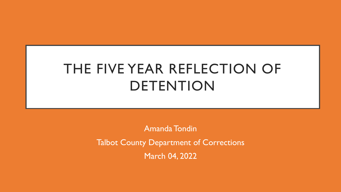# THE FIVE YEAR REFLECTION OF DETENTION

Amanda Tondin Talbot County Department of Corrections March 04, 2022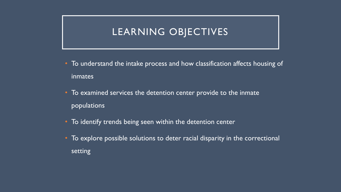## LEARNING OBJECTIVES

- To understand the intake process and how classification affects housing of **inmates**
- To examined services the detention center provide to the inmate populations
- To identify trends being seen within the detention center
- To explore possible solutions to deter racial disparity in the correctional setting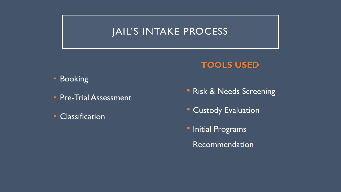## JAIL'S INTAKE PROCESS

## **TOOLS USED**

### • Booking

- Pre-Trial Assessment
- Classification
- Risk & Needs Screening
- Custody Evaluation
- Initial Programs
	- Recommendation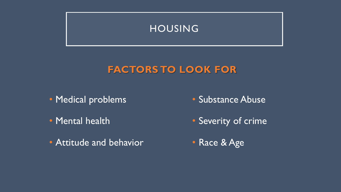

## **FACTORS TO LOOK FOR**

- Medical problems
- Mental health
- Attitude and behavior
- Substance Abuse
- Severity of crime
- Race & Age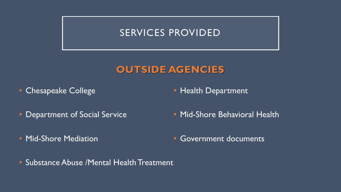## SERVICES PROVIDED

## **OUTSIDE AGENCIES**

• Chesapeake College

• Health Department

- Department of Social Service
- Mid-Shore Mediation
- Mid-Shore Behavioral Health
- Government documents
- Substance Abuse /Mental Health Treatment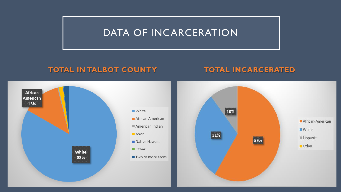## DATA OF INCARCERATION

### **TOTAL IN TALBOT COUNTY TOTAL INCARCERATED**

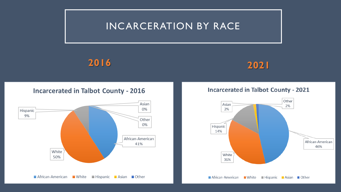## INCARCERATION BY RACE



#### **Incarcerated in Talbot County - 2016**



#### **Incarcerated in Talbot County - 2021**

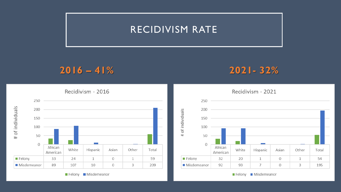## RECIDIVISM RATE

## **2016 – 41% 2021- 32%**



 $200$ of individuals  $150 -$ 100  $\pm$ 50  $\mathbf 0$ African White Hispanic Asian Other Total American 32 Felony  $20$  $\mathbf{1}$  $\Omega$ 54  $\mathbf{1}$ ■ Misdemeanor 92  $\overline{7}$ 93  $\Omega$ 3 195

Felony Misdemeanor

Recidivism - 2021

Felony Misdemeanor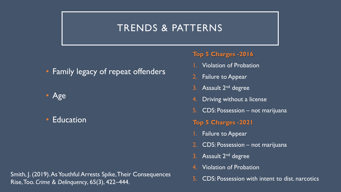## TRENDS & PATTERNS

• Family legacy of repeat offenders



• Education

Smith, J. (2019). As Youthful Arrests Spike, Their Consequences<br>
5. CDS: Possession with intent to dist. narcotics Rise, Too. *Crime & Delinquency*, 65(3), 422–444.

#### **Top 5 Charges -2016**

- **Violation of Probation**
- 2. Failure to Appear
- 3. Assault 2<sup>nd</sup> degree
- 4. Driving without a license
- 5. CDS: Possession not marijuana
- **Top 5 Charges -2021**
- Failure to Appear
- 2. CDS: Possession not marijuana
- 3. Assault 2<sup>nd</sup> degree
- 4. Violation of Probation
-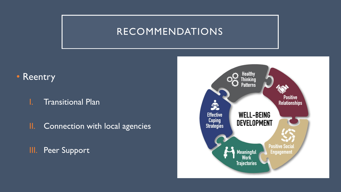## RECOMMENDATIONS

## • Reentry

### I. Transitional Plan

II. Connection with local agencies

III. Peer Support